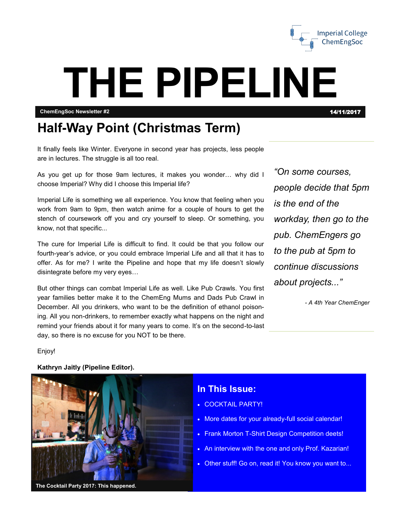

## **THE PIPELINE**

**ChemEngSoc Newsletter #2** 14/11/2017

#### **Half-Way Point (Christmas Term)**

It finally feels like Winter. Everyone in second year has projects, less people are in lectures. The struggle is all too real.

As you get up for those 9am lectures, it makes you wonder… why did I choose Imperial? Why did I choose this Imperial life?

Imperial Life is something we all experience. You know that feeling when you work from 9am to 9pm, then watch anime for a couple of hours to get the stench of coursework off you and cry yourself to sleep. Or something, you know, not that specific...

The cure for Imperial Life is difficult to find. It could be that you follow our fourth-year's advice, or you could embrace Imperial Life and all that it has to offer. As for me? I write the Pipeline and hope that my life doesn't slowly disintegrate before my very eyes…

But other things can combat Imperial Life as well. Like Pub Crawls. You first year families better make it to the ChemEng Mums and Dads Pub Crawl in December. All you drinkers, who want to be the definition of ethanol poisoning. All you non-drinkers, to remember exactly what happens on the night and remind your friends about it for many years to come. It's on the second-to-last day, so there is no excuse for you NOT to be there.

*"On some courses, people decide that 5pm is the end of the workday, then go to the pub. ChemEngers go to the pub at 5pm to continue discussions about projects..."*

*- A 4th Year ChemEnger*

Enjoy!

# **The Cocktail Party 2017: This happened.**

**Kathryn Jaitly (Pipeline Editor).**

#### **In This Issue:**

- COCKTAIL PARTY!
- More dates for your already-full social calendar!
- Frank Morton T-Shirt Design Competition deets!
- An interview with the one and only Prof. Kazarian!
- Other stuff! Go on, read it! You know you want to...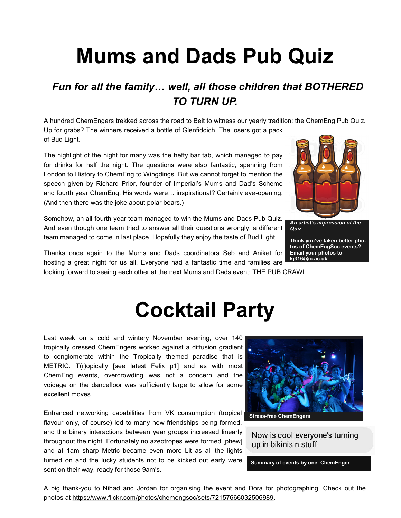## **Mums and Dads Pub Quiz**

#### *Fun for all the family… well, all those children that BOTHERED TO TURN UP.*

A hundred ChemEngers trekked across the road to Beit to witness our yearly tradition: the ChemEng Pub Quiz. Up for grabs? The winners received a bottle of Glenfiddich. The losers got a pack of Bud Light.

The highlight of the night for many was the hefty bar tab, which managed to pay for drinks for half the night. The questions were also fantastic, spanning from London to History to ChemEng to Wingdings. But we cannot forget to mention the speech given by Richard Prior, founder of Imperial's Mums and Dad's Scheme and fourth year ChemEng. His words were… inspirational? Certainly eye-opening. (And then there was the joke about polar bears.)

Somehow, an all-fourth-year team managed to win the Mums and Dads Pub Quiz. And even though one team tried to answer all their questions wrongly, a different team managed to come in last place. Hopefully they enjoy the taste of Bud Light.

Thanks once again to the Mums and Dads coordinators Seb and Aniket for hosting a great night for us all. Everyone had a fantastic time and families are

looking forward to seeing each other at the next Mums and Dads event: THE PUB CRAWL.

## **Cocktail Party**

Last week on a cold and wintery November evening, over 140 tropically dressed ChemEngers worked against a diffusion gradient to conglomerate within the Tropically themed paradise that is METRIC. T(r)opically [see latest Felix p1] and as with most ChemEng events, overcrowding was not a concern and the voidage on the dancefloor was sufficiently large to allow for some excellent moves.

Enhanced networking capabilities from VK consumption (tropical flavour only, of course) led to many new friendships being formed, and the binary interactions between year groups increased linearly throughout the night. Fortunately no azeotropes were formed [phew] and at 1am sharp Metric became even more Lit as all the lights turned on and the lucky students not to be kicked out early were sent on their way, ready for those 9am's.

A big thank-you to Nihad and Jordan for organising the event and Dora for photographing. Check out the photos at [https://www.flickr.com/photos/chemengsoc/sets/72157666032506989.](https://l.facebook.com/l.php?u=https%3A%2F%2Fwww.flickr.com%2Fphotos%2Fchemengsoc%2Fsets%2F72157666032506989&h=ATNti4497iruoz7rplSQhzp1ZJn9PTH9dHrDA_9QIOUxDD2bnACqphWVPV7wamY74KEOTHyuxqCbio1_jK-nuyddR4iLPbKTw6JRwJIgVMyDYP0uG9plYY5_Q46cyrn1te-hJ9xLFE-h)



Now is cool everyone's turning up in bikinis n stuff

**Summary of events by one ChemEnger**



*An artist's impression of the Quiz.*

**Think you've taken better photos of ChemEngSoc events? Email your photos to kj316@ic.ac.uk**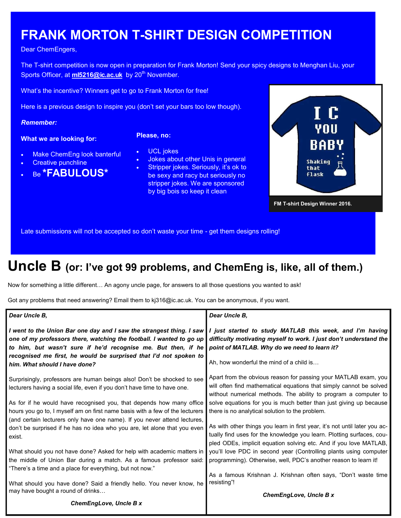#### **FRANK MORTON T-SHIRT DESIGN COMPETITION**

Dear ChemEngers,

The T-shirt competition is now open in preparation for Frank Morton! Send your spicy designs to Menghan Liu, your Sports Officer, at **[ml5216@ic.ac.uk](mailto:ml5216@ic.ac.uk)** by 20<sup>th</sup> November.

What's the incentive? Winners get to go to Frank Morton for free!

Here is a previous design to inspire you (don't set your bars too low though).

#### *Remember:*

#### **What we are looking for:**

- **Please, no:**
- Make ChemEng look banterful
- Creative punchline
- Be **\*FABULOUS\***
- UCL jokes Jokes about other Unis in general
- Stripper jokes. Seriously, it's ok to
- be sexy and racy but seriously no stripper jokes. We are sponsored by big bois so keep it clean



Late submissions will not be accepted so don't waste your time - get them designs rolling!

#### **Uncle B (or: I've got 99 problems, and ChemEng is, like, all of them.)**

Now for something a little different… An agony uncle page, for answers to all those questions you wanted to ask!

Got any problems that need answering? Email them to kj316@ic.ac.uk. You can be anonymous, if you want.

| Dear Uncle B,                                                                                                                                                                                                                                                                                                       | Dear Uncle B,                                                                                                                                                                                                             |
|---------------------------------------------------------------------------------------------------------------------------------------------------------------------------------------------------------------------------------------------------------------------------------------------------------------------|---------------------------------------------------------------------------------------------------------------------------------------------------------------------------------------------------------------------------|
| I went to the Union Bar one day and I saw the strangest thing. I saw<br>one of my professors there, watching the football. I wanted to go up<br>to him, but wasn't sure if he'd recognise me. But then, if he<br>recognised me first, he would be surprised that I'd not spoken to<br>him. What should I have done? | I just started to study MATLAB this week, and I'm having<br>difficulty motivating myself to work. I just don't understand the<br>point of MATLAB. Why do we need to learn it?<br>Ah, how wonderful the mind of a child is |
| Surprisingly, professors are human beings also! Don't be shocked to see<br>lecturers having a social life, even if you don't have time to have one.                                                                                                                                                                 | Apart from the obvious reason for passing your MATLAB exam, you<br>will often find mathematical equations that simply cannot be solved<br>without numerical methods. The ability to program a computer to                 |
| As for if he would have recognised you, that depends how many office<br>hours you go to, I myself am on first name basis with a few of the lecturers                                                                                                                                                                | solve equations for you is much better than just giving up because<br>there is no analytical solution to the problem.                                                                                                     |
| (and certain lecturers only have one name). If you never attend lectures,<br>don't be surprised if he has no idea who you are, let alone that you even<br>exist.                                                                                                                                                    | As with other things you learn in first year, it's not until later you ac-<br>tually find uses for the knowledge you learn. Plotting surfaces, cou-<br>pled ODEs, implicit equation solving etc. And if you love MATLAB,  |
| What should you not have done? Asked for help with academic matters in                                                                                                                                                                                                                                              | you'll love PDC in second year (Controlling plants using computer                                                                                                                                                         |
| the middle of Union Bar during a match. As a famous professor said:                                                                                                                                                                                                                                                 | programming). Otherwise, well, PDC's another reason to learn it!                                                                                                                                                          |
| "There's a time and a place for everything, but not now."                                                                                                                                                                                                                                                           |                                                                                                                                                                                                                           |
| What should you have done? Said a friendly hello. You never know, he<br>may have bought a round of drinks                                                                                                                                                                                                           | As a famous Krishnan J. Krishnan often says, "Don't waste time<br>resisting"!                                                                                                                                             |
|                                                                                                                                                                                                                                                                                                                     | ChemEngLove, Uncle B x                                                                                                                                                                                                    |
| <b>ChemEngLove, Uncle B x</b>                                                                                                                                                                                                                                                                                       |                                                                                                                                                                                                                           |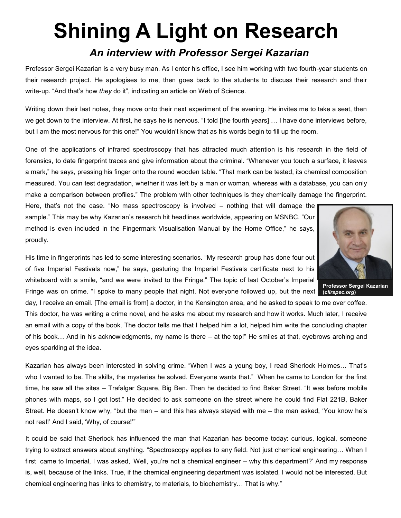## **Shining A Light on Research**

#### *An interview with Professor Sergei Kazarian*

Professor Sergei Kazarian is a very busy man. As I enter his office, I see him working with two fourth-year students on their research project. He apologises to me, then goes back to the students to discuss their research and their write-up. "And that's how *they* do it", indicating an article on Web of Science.

Writing down their last notes, they move onto their next experiment of the evening. He invites me to take a seat, then we get down to the interview. At first, he says he is nervous. "I told [the fourth years] … I have done interviews before, but I am the most nervous for this one!" You wouldn't know that as his words begin to fill up the room.

One of the applications of infrared spectroscopy that has attracted much attention is his research in the field of forensics, to date fingerprint traces and give information about the criminal. "Whenever you touch a surface, it leaves a mark," he says, pressing his finger onto the round wooden table. "That mark can be tested, its chemical composition measured. You can test degradation, whether it was left by a man or woman, whereas with a database, you can only make a comparison between profiles." The problem with other techniques is they chemically damage the fingerprint.

Here, that's not the case. "No mass spectroscopy is involved – nothing that will damage the sample." This may be why Kazarian's research hit headlines worldwide, appearing on MSNBC. "Our method is even included in the Fingermark Visualisation Manual by the Home Office," he says, proudly.

His time in fingerprints has led to some interesting scenarios. "My research group has done four out of five Imperial Festivals now," he says, gesturing the Imperial Festivals certificate next to his whiteboard with a smile, "and we were invited to the Fringe." The topic of last October's Imperial Fringe was on crime. "I spoke to many people that night. Not everyone followed up, but the next

day, I receive an email. [The email is from] a doctor, in the Kensington area, and he asked to speak to me over coffee. This doctor, he was writing a crime novel, and he asks me about my research and how it works. Much later, I receive an email with a copy of the book. The doctor tells me that I helped him a lot, helped him write the concluding chapter of his book… And in his acknowledgments, my name is there – at the top!" He smiles at that, eyebrows arching and eyes sparkling at the idea.

Kazarian has always been interested in solving crime. "When I was a young boy, I read Sherlock Holmes… That's who I wanted to be. The skills, the mysteries he solved. Everyone wants that." When he came to London for the first time, he saw all the sites – Trafalgar Square, Big Ben. Then he decided to find Baker Street. "It was before mobile phones with maps, so I got lost." He decided to ask someone on the street where he could find Flat 221B, Baker Street. He doesn't know why, "but the man – and this has always stayed with me – the man asked, 'You know he's not real!' And I said, 'Why, of course!'"

It could be said that Sherlock has influenced the man that Kazarian has become today: curious, logical, someone trying to extract answers about anything. "Spectroscopy applies to any field. Not just chemical engineering… When I first came to Imperial, I was asked, 'Well, you're not a chemical engineer – why this department?' And my response is, well, because of the links. True, if the chemical engineering department was isolated, I would not be interested. But chemical engineering has links to chemistry, to materials, to biochemistry… That is why."

**Professor Sergei Kazarian (***clirspec.org***)**